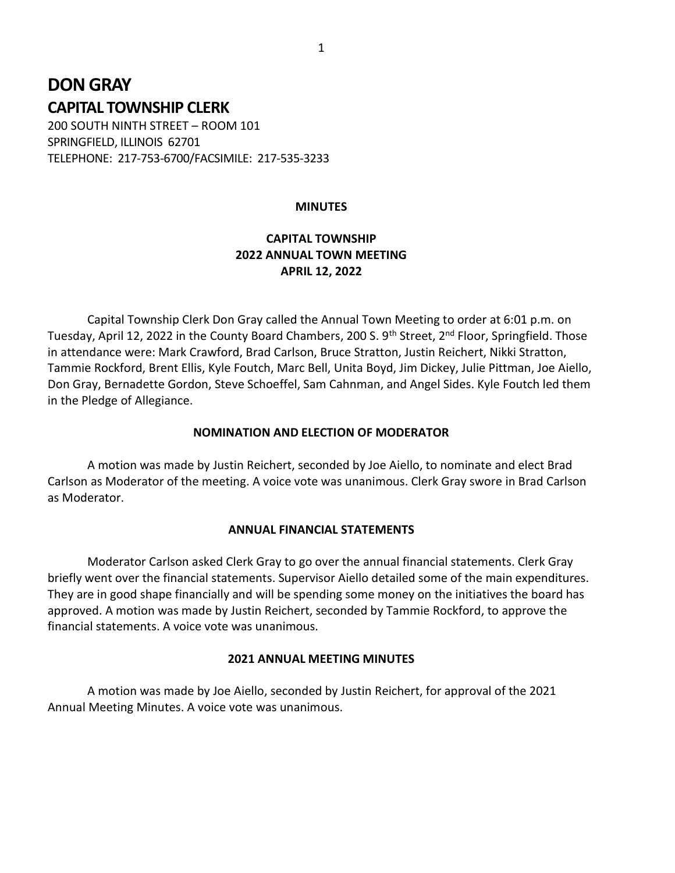# DON GRAY CAPITAL TOWNSHIP CLERK

200 SOUTH NINTH STREET – ROOM 101 SPRINGFIELD, ILLINOIS 62701 TELEPHONE: 217-753-6700/FACSIMILE: 217-535-3233

#### **MINUTES**

## CAPITAL TOWNSHIP 2022 ANNUAL TOWN MEETING APRIL 12, 2022

 Capital Township Clerk Don Gray called the Annual Town Meeting to order at 6:01 p.m. on Tuesday, April 12, 2022 in the County Board Chambers, 200 S. 9<sup>th</sup> Street, 2<sup>nd</sup> Floor, Springfield. Those in attendance were: Mark Crawford, Brad Carlson, Bruce Stratton, Justin Reichert, Nikki Stratton, Tammie Rockford, Brent Ellis, Kyle Foutch, Marc Bell, Unita Boyd, Jim Dickey, Julie Pittman, Joe Aiello, Don Gray, Bernadette Gordon, Steve Schoeffel, Sam Cahnman, and Angel Sides. Kyle Foutch led them in the Pledge of Allegiance.

#### NOMINATION AND ELECTION OF MODERATOR

 A motion was made by Justin Reichert, seconded by Joe Aiello, to nominate and elect Brad Carlson as Moderator of the meeting. A voice vote was unanimous. Clerk Gray swore in Brad Carlson as Moderator.

#### ANNUAL FINANCIAL STATEMENTS

 Moderator Carlson asked Clerk Gray to go over the annual financial statements. Clerk Gray briefly went over the financial statements. Supervisor Aiello detailed some of the main expenditures. They are in good shape financially and will be spending some money on the initiatives the board has approved. A motion was made by Justin Reichert, seconded by Tammie Rockford, to approve the financial statements. A voice vote was unanimous.

#### 2021 ANNUAL MEETING MINUTES

 A motion was made by Joe Aiello, seconded by Justin Reichert, for approval of the 2021 Annual Meeting Minutes. A voice vote was unanimous.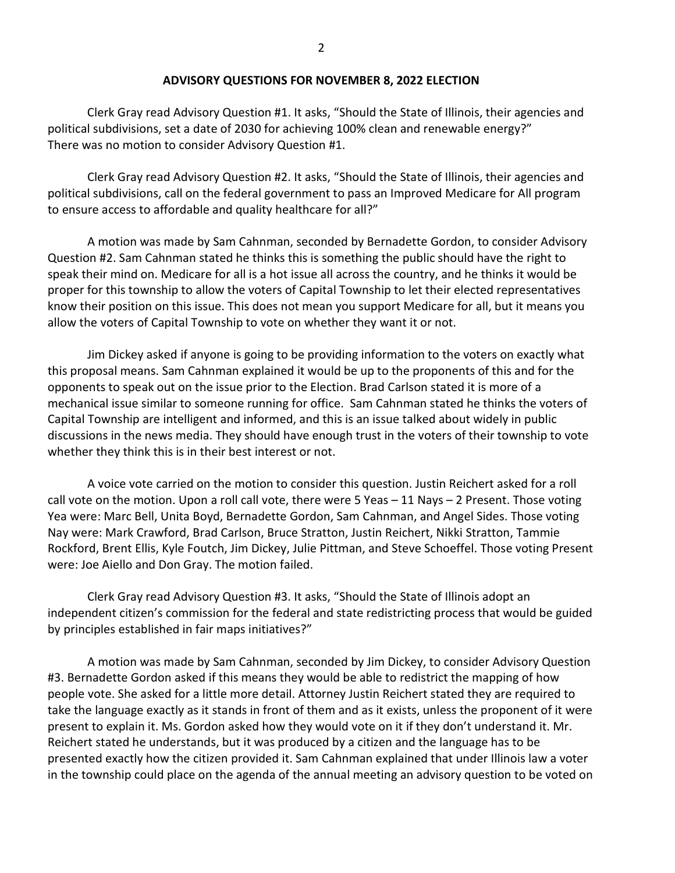## ADVISORY QUESTIONS FOR NOVEMBER 8, 2022 ELECTION

Clerk Gray read Advisory Question #1. It asks, "Should the State of Illinois, their agencies and political subdivisions, set a date of 2030 for achieving 100% clean and renewable energy?" There was no motion to consider Advisory Question #1.

 Clerk Gray read Advisory Question #2. It asks, "Should the State of Illinois, their agencies and political subdivisions, call on the federal government to pass an Improved Medicare for All program to ensure access to affordable and quality healthcare for all?"

 A motion was made by Sam Cahnman, seconded by Bernadette Gordon, to consider Advisory Question #2. Sam Cahnman stated he thinks this is something the public should have the right to speak their mind on. Medicare for all is a hot issue all across the country, and he thinks it would be proper for this township to allow the voters of Capital Township to let their elected representatives know their position on this issue. This does not mean you support Medicare for all, but it means you allow the voters of Capital Township to vote on whether they want it or not.

 Jim Dickey asked if anyone is going to be providing information to the voters on exactly what this proposal means. Sam Cahnman explained it would be up to the proponents of this and for the opponents to speak out on the issue prior to the Election. Brad Carlson stated it is more of a mechanical issue similar to someone running for office. Sam Cahnman stated he thinks the voters of Capital Township are intelligent and informed, and this is an issue talked about widely in public discussions in the news media. They should have enough trust in the voters of their township to vote whether they think this is in their best interest or not.

 A voice vote carried on the motion to consider this question. Justin Reichert asked for a roll call vote on the motion. Upon a roll call vote, there were 5 Yeas – 11 Nays – 2 Present. Those voting Yea were: Marc Bell, Unita Boyd, Bernadette Gordon, Sam Cahnman, and Angel Sides. Those voting Nay were: Mark Crawford, Brad Carlson, Bruce Stratton, Justin Reichert, Nikki Stratton, Tammie Rockford, Brent Ellis, Kyle Foutch, Jim Dickey, Julie Pittman, and Steve Schoeffel. Those voting Present were: Joe Aiello and Don Gray. The motion failed.

 Clerk Gray read Advisory Question #3. It asks, "Should the State of Illinois adopt an independent citizen's commission for the federal and state redistricting process that would be guided by principles established in fair maps initiatives?"

 A motion was made by Sam Cahnman, seconded by Jim Dickey, to consider Advisory Question #3. Bernadette Gordon asked if this means they would be able to redistrict the mapping of how people vote. She asked for a little more detail. Attorney Justin Reichert stated they are required to take the language exactly as it stands in front of them and as it exists, unless the proponent of it were present to explain it. Ms. Gordon asked how they would vote on it if they don't understand it. Mr. Reichert stated he understands, but it was produced by a citizen and the language has to be presented exactly how the citizen provided it. Sam Cahnman explained that under Illinois law a voter in the township could place on the agenda of the annual meeting an advisory question to be voted on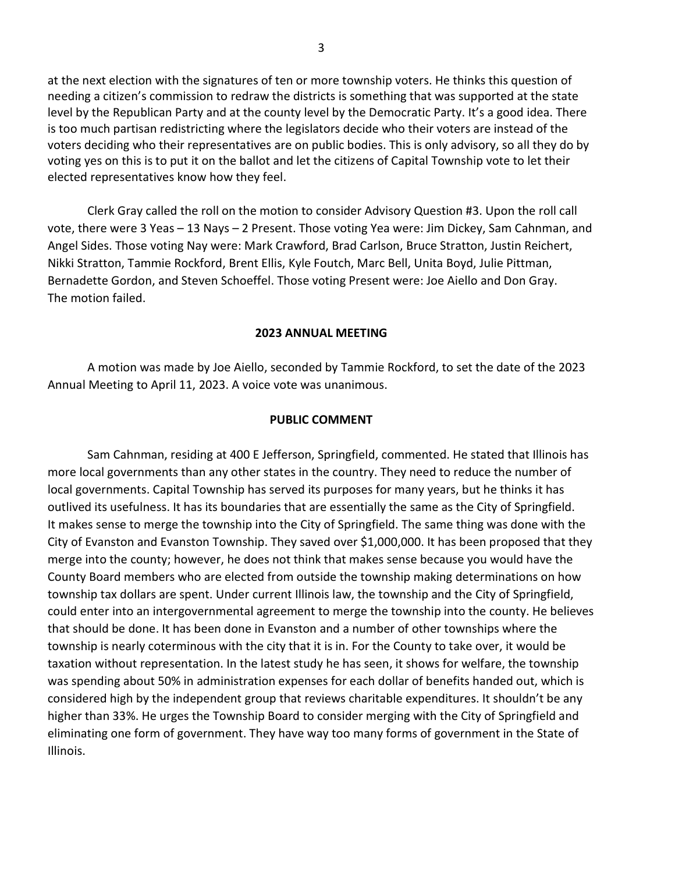at the next election with the signatures of ten or more township voters. He thinks this question of needing a citizen's commission to redraw the districts is something that was supported at the state level by the Republican Party and at the county level by the Democratic Party. It's a good idea. There is too much partisan redistricting where the legislators decide who their voters are instead of the voters deciding who their representatives are on public bodies. This is only advisory, so all they do by voting yes on this is to put it on the ballot and let the citizens of Capital Township vote to let their elected representatives know how they feel.

 Clerk Gray called the roll on the motion to consider Advisory Question #3. Upon the roll call vote, there were 3 Yeas – 13 Nays – 2 Present. Those voting Yea were: Jim Dickey, Sam Cahnman, and Angel Sides. Those voting Nay were: Mark Crawford, Brad Carlson, Bruce Stratton, Justin Reichert, Nikki Stratton, Tammie Rockford, Brent Ellis, Kyle Foutch, Marc Bell, Unita Boyd, Julie Pittman, Bernadette Gordon, and Steven Schoeffel. Those voting Present were: Joe Aiello and Don Gray. The motion failed.

## 2023 ANNUAL MEETING

 A motion was made by Joe Aiello, seconded by Tammie Rockford, to set the date of the 2023 Annual Meeting to April 11, 2023. A voice vote was unanimous.

## PUBLIC COMMENT

 Sam Cahnman, residing at 400 E Jefferson, Springfield, commented. He stated that Illinois has more local governments than any other states in the country. They need to reduce the number of local governments. Capital Township has served its purposes for many years, but he thinks it has outlived its usefulness. It has its boundaries that are essentially the same as the City of Springfield. It makes sense to merge the township into the City of Springfield. The same thing was done with the City of Evanston and Evanston Township. They saved over \$1,000,000. It has been proposed that they merge into the county; however, he does not think that makes sense because you would have the County Board members who are elected from outside the township making determinations on how township tax dollars are spent. Under current Illinois law, the township and the City of Springfield, could enter into an intergovernmental agreement to merge the township into the county. He believes that should be done. It has been done in Evanston and a number of other townships where the township is nearly coterminous with the city that it is in. For the County to take over, it would be taxation without representation. In the latest study he has seen, it shows for welfare, the township was spending about 50% in administration expenses for each dollar of benefits handed out, which is considered high by the independent group that reviews charitable expenditures. It shouldn't be any higher than 33%. He urges the Township Board to consider merging with the City of Springfield and eliminating one form of government. They have way too many forms of government in the State of Illinois.